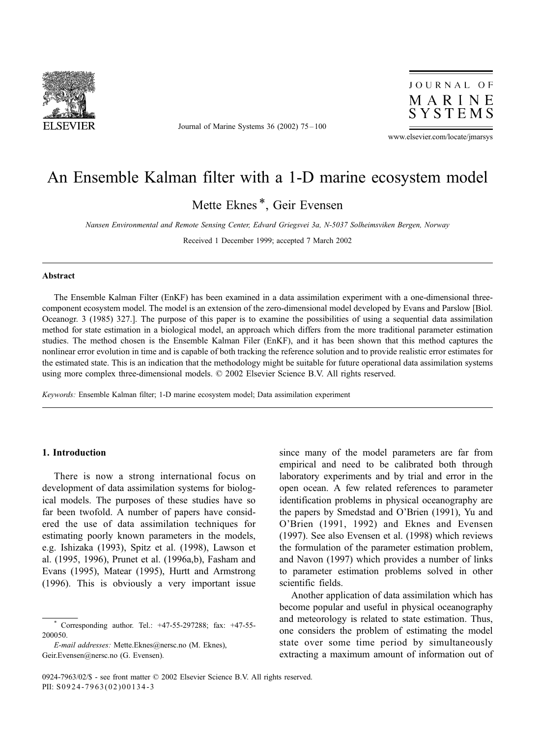

Journal of Marine Systems 36 (2002) 75 – 100



www.elsevier.com/locate/jmarsys

# An Ensemble Kalman filter with a 1-D marine ecosystem model

Mette Eknes \*, Geir Evensen

Nansen Environmental and Remote Sensing Center, Edvard Griegsvei 3a, N-5037 Solheimsviken Bergen, Norway

Received 1 December 1999; accepted 7 March 2002

#### Abstract

The Ensemble Kalman Filter (EnKF) has been examined in a data assimilation experiment with a one-dimensional threecomponent ecosystem model. The model is an extension of the zero-dimensional model developed by Evans and Parslow [Biol. Oceanogr. 3 (1985) 327.]. The purpose of this paper is to examine the possibilities of using a sequential data assimilation method for state estimation in a biological model, an approach which differs from the more traditional parameter estimation studies. The method chosen is the Ensemble Kalman Filer (EnKF), and it has been shown that this method captures the nonlinear error evolution in time and is capable of both tracking the reference solution and to provide realistic error estimates for the estimated state. This is an indication that the methodology might be suitable for future operational data assimilation systems using more complex three-dimensional models.  $\heartsuit$  2002 Elsevier Science B.V. All rights reserved.

Keywords: Ensemble Kalman filter; 1-D marine ecosystem model; Data assimilation experiment

## 1. Introduction

There is now a strong international focus on development of data assimilation systems for biological models. The purposes of these studies have so far been twofold. A number of papers have considered the use of data assimilation techniques for estimating poorly known parameters in the models, e.g. Ishizaka (1993), Spitz et al. (1998), Lawson et al. (1995, 1996), Prunet et al. (1996a,b), Fasham and Evans (1995), Matear (1995), Hurtt and Armstrong (1996). This is obviously a very important issue

E-mail addresses: Mette.Eknes@nersc.no (M. Eknes), Geir.Evensen@nersc.no (G. Evensen).

since many of the model parameters are far from empirical and need to be calibrated both through laboratory experiments and by trial and error in the open ocean. A few related references to parameter identification problems in physical oceanography are the papers by Smedstad and O'Brien (1991), Yu and O'Brien (1991, 1992) and Eknes and Evensen (1997). See also Evensen et al. (1998) which reviews the formulation of the parameter estimation problem, and Navon (1997) which provides a number of links to parameter estimation problems solved in other scientific fields.

Another application of data assimilation which has become popular and useful in physical oceanography and meteorology is related to state estimation. Thus, one considers the problem of estimating the model state over some time period by simultaneously extracting a maximum amount of information out of

<sup>\*</sup> Corresponding author. Tel.: +47-55-297288; fax: +47-55- 200050.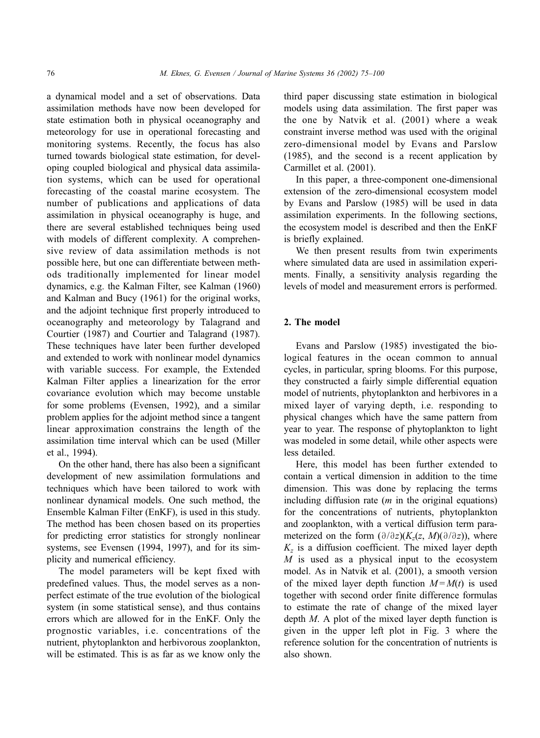a dynamical model and a set of observations. Data assimilation methods have now been developed for state estimation both in physical oceanography and meteorology for use in operational forecasting and monitoring systems. Recently, the focus has also turned towards biological state estimation, for developing coupled biological and physical data assimilation systems, which can be used for operational forecasting of the coastal marine ecosystem. The number of publications and applications of data assimilation in physical oceanography is huge, and there are several established techniques being used with models of different complexity. A comprehensive review of data assimilation methods is not possible here, but one can differentiate between methods traditionally implemented for linear model dynamics, e.g. the Kalman Filter, see Kalman (1960) and Kalman and Bucy (1961) for the original works, and the adjoint technique first properly introduced to oceanography and meteorology by Talagrand and Courtier (1987) and Courtier and Talagrand (1987). These techniques have later been further developed and extended to work with nonlinear model dynamics with variable success. For example, the Extended Kalman Filter applies a linearization for the error covariance evolution which may become unstable for some problems (Evensen, 1992), and a similar problem applies for the adjoint method since a tangent linear approximation constrains the length of the assimilation time interval which can be used (Miller et al., 1994).

On the other hand, there has also been a significant development of new assimilation formulations and techniques which have been tailored to work with nonlinear dynamical models. One such method, the Ensemble Kalman Filter (EnKF), is used in this study. The method has been chosen based on its properties for predicting error statistics for strongly nonlinear systems, see Evensen (1994, 1997), and for its simplicity and numerical efficiency.

The model parameters will be kept fixed with predefined values. Thus, the model serves as a nonperfect estimate of the true evolution of the biological system (in some statistical sense), and thus contains errors which are allowed for in the EnKF. Only the prognostic variables, i.e. concentrations of the nutrient, phytoplankton and herbivorous zooplankton, will be estimated. This is as far as we know only the third paper discussing state estimation in biological models using data assimilation. The first paper was the one by Natvik et al. (2001) where a weak constraint inverse method was used with the original zero-dimensional model by Evans and Parslow (1985), and the second is a recent application by Carmillet et al. (2001).

In this paper, a three-component one-dimensional extension of the zero-dimensional ecosystem model by Evans and Parslow (1985) will be used in data assimilation experiments. In the following sections, the ecosystem model is described and then the EnKF is briefly explained.

We then present results from twin experiments where simulated data are used in assimilation experiments. Finally, a sensitivity analysis regarding the levels of model and measurement errors is performed.

## 2. The model

Evans and Parslow (1985) investigated the biological features in the ocean common to annual cycles, in particular, spring blooms. For this purpose, they constructed a fairly simple differential equation model of nutrients, phytoplankton and herbivores in a mixed layer of varying depth, i.e. responding to physical changes which have the same pattern from year to year. The response of phytoplankton to light was modeled in some detail, while other aspects were less detailed.

Here, this model has been further extended to contain a vertical dimension in addition to the time dimension. This was done by replacing the terms including diffusion rate  $(m \text{ in the original equations})$ for the concentrations of nutrients, phytoplankton and zooplankton, with a vertical diffusion term parameterized on the form  $(\partial/\partial z)(K_z(z, M)(\partial/\partial z))$ , where  $K_z$  is a diffusion coefficient. The mixed layer depth  $M$  is used as a physical input to the ecosystem model. As in Natvik et al. (2001), a smooth version of the mixed layer depth function  $M = M(t)$  is used together with second order finite difference formulas to estimate the rate of change of the mixed layer depth  $M$ . A plot of the mixed layer depth function is given in the upper left plot in Fig. 3 where the reference solution for the concentration of nutrients is also shown.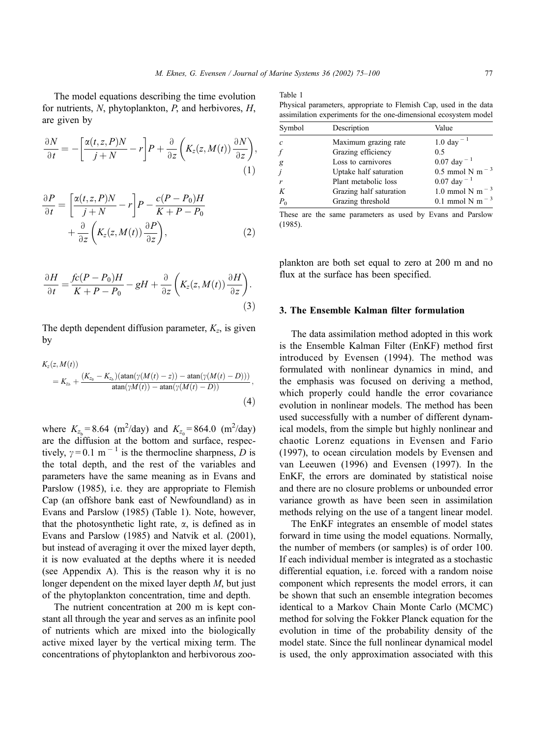The model equations describing the time evolution for nutrients, N, phytoplankton, P, and herbivores, H, are given by

$$
\frac{\partial N}{\partial t} = -\left[\frac{\alpha(t,z,P)N}{j+N} - r\right]P + \frac{\partial}{\partial z}\left(K_z(z,M(t))\frac{\partial N}{\partial z}\right),\tag{1}
$$

$$
\frac{\partial P}{\partial t} = \left[ \frac{\alpha(t, z, P)N}{j + N} - r \right] P - \frac{c(P - P_0)H}{K + P - P_0} + \frac{\partial}{\partial z} \left( K_z(z, M(t)) \frac{\partial P}{\partial z} \right),\tag{2}
$$

$$
\frac{\partial H}{\partial t} = \frac{fc(P - P_0)H}{K + P - P_0} - gH + \frac{\partial}{\partial z} \left( K_z(z, M(t)) \frac{\partial H}{\partial z} \right).
$$
\n(3)

The depth dependent diffusion parameter,  $K_z$ , is given by

$$
K_z(z, M(t))
$$
  
=  $K_{z_b} + \frac{(K_{z_0} - K_{z_b})(\operatorname{atan}(\gamma(M(t) - z)) - \operatorname{atan}(\gamma(M(t) - D)))}{\operatorname{atan}(\gamma(M(t)) - \operatorname{atan}(\gamma(M(t) - D))},$  (4)

where  $K_{z_b} = 8.64 \text{ (m}^2/\text{day)}$  and  $K_{z_0} = 864.0 \text{ (m}^2/\text{day)}$ are the diffusion at the bottom and surface, respectively,  $\gamma = 0.1$  m<sup>-1</sup> is the thermocline sharpness, D is the total depth, and the rest of the variables and parameters have the same meaning as in Evans and Parslow (1985), i.e. they are appropriate to Flemish Cap (an offshore bank east of Newfoundland) as in Evans and Parslow (1985) (Table 1). Note, however, that the photosynthetic light rate,  $\alpha$ , is defined as in Evans and Parslow (1985) and Natvik et al. (2001), but instead of averaging it over the mixed layer depth, it is now evaluated at the depths where it is needed (see Appendix A). This is the reason why it is no longer dependent on the mixed layer depth M, but just of the phytoplankton concentration, time and depth.

The nutrient concentration at 200 m is kept constant all through the year and serves as an infinite pool of nutrients which are mixed into the biologically active mixed layer by the vertical mixing term. The concentrations of phytoplankton and herbivorous zooTable 1

Physical parameters, appropriate to Flemish Cap, used in the data assimilation experiments for the one-dimensional ecosystem model

| Symbol                      | Description             | Value                                   |
|-----------------------------|-------------------------|-----------------------------------------|
| $\mathcal{C}_{\mathcal{C}}$ | Maximum grazing rate    | 1.0 day $^{-1}$                         |
| f                           | Grazing efficiency      | 0.5                                     |
| g                           | Loss to carnivores      | $0.07 \text{ day}^{-1}$                 |
| i                           | Uptake half saturation  | 0.5 mmol N m $^{-3}$                    |
| r                           | Plant metabolic loss    | $0.07 \text{ day}^{-1}$                 |
| K                           | Grazing half saturation | 1.0 mmol N m <sup><math>-3</math></sup> |
| $P_0$                       | Grazing threshold       | 0.1 mmol N m <sup><math>-3</math></sup> |

These are the same parameters as used by Evans and Parslow (1985).

plankton are both set equal to zero at 200 m and no flux at the surface has been specified.

#### 3. The Ensemble Kalman filter formulation

The data assimilation method adopted in this work is the Ensemble Kalman Filter (EnKF) method first introduced by Evensen (1994). The method was formulated with nonlinear dynamics in mind, and the emphasis was focused on deriving a method, which properly could handle the error covariance evolution in nonlinear models. The method has been used successfully with a number of different dynamical models, from the simple but highly nonlinear and chaotic Lorenz equations in Evensen and Fario (1997), to ocean circulation models by Evensen and van Leeuwen (1996) and Evensen (1997). In the EnKF, the errors are dominated by statistical noise and there are no closure problems or unbounded error variance growth as have been seen in assimilation methods relying on the use of a tangent linear model.

The EnKF integrates an ensemble of model states forward in time using the model equations. Normally, the number of members (or samples) is of order 100. If each individual member is integrated as a stochastic differential equation, i.e. forced with a random noise component which represents the model errors, it can be shown that such an ensemble integration becomes identical to a Markov Chain Monte Carlo (MCMC) method for solving the Fokker Planck equation for the evolution in time of the probability density of the model state. Since the full nonlinear dynamical model is used, the only approximation associated with this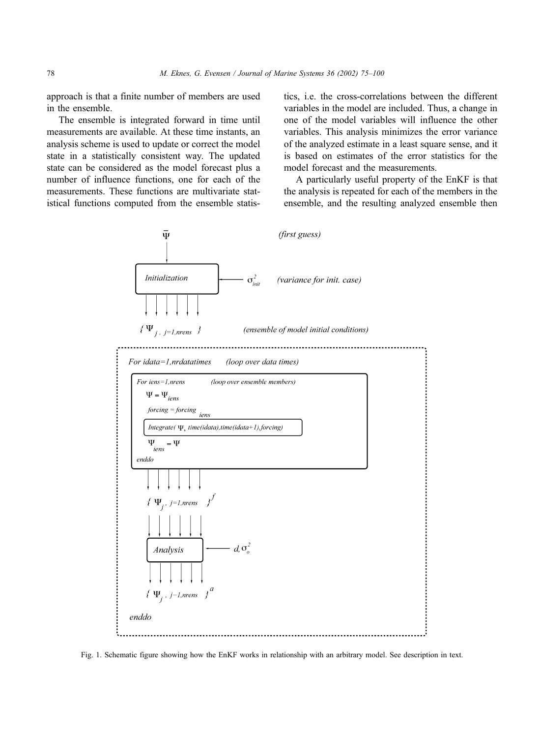approach is that a finite number of members are used in the ensemble.

The ensemble is integrated forward in time until measurements are available. At these time instants, an analysis scheme is used to update or correct the model state in a statistically consistent way. The updated state can be considered as the model forecast plus a number of influence functions, one for each of the measurements. These functions are multivariate statistical functions computed from the ensemble statistics, i.e. the cross-correlations between the different variables in the model are included. Thus, a change in one of the model variables will influence the other variables. This analysis minimizes the error variance of the analyzed estimate in a least square sense, and it is based on estimates of the error statistics for the model forecast and the measurements.

A particularly useful property of the EnKF is that the analysis is repeated for each of the members in the ensemble, and the resulting analyzed ensemble then



Fig. 1. Schematic figure showing how the EnKF works in relationship with an arbitrary model. See description in text.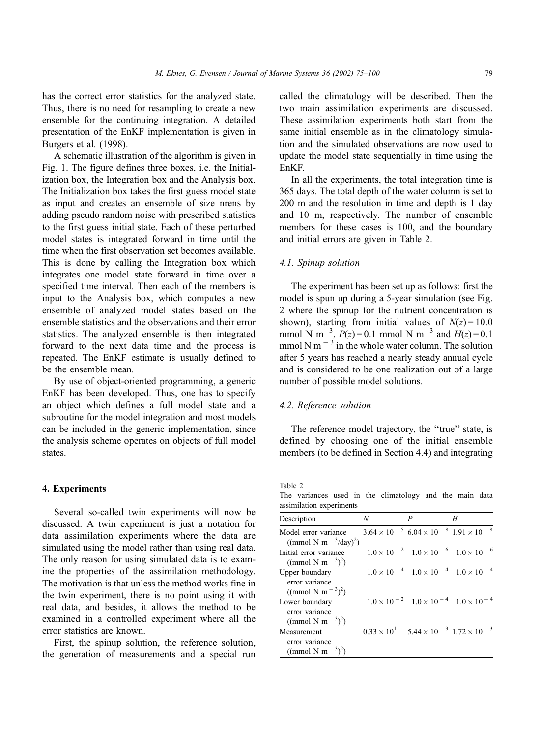has the correct error statistics for the analyzed state. Thus, there is no need for resampling to create a new ensemble for the continuing integration. A detailed presentation of the EnKF implementation is given in Burgers et al. (1998).

A schematic illustration of the algorithm is given in Fig. 1. The figure defines three boxes, i.e. the Initialization box, the Integration box and the Analysis box. The Initialization box takes the first guess model state as input and creates an ensemble of size nrens by adding pseudo random noise with prescribed statistics to the first guess initial state. Each of these perturbed model states is integrated forward in time until the time when the first observation set becomes available. This is done by calling the Integration box which integrates one model state forward in time over a specified time interval. Then each of the members is input to the Analysis box, which computes a new ensemble of analyzed model states based on the ensemble statistics and the observations and their error statistics. The analyzed ensemble is then integrated forward to the next data time and the process is repeated. The EnKF estimate is usually defined to be the ensemble mean.

By use of object-oriented programming, a generic EnKF has been developed. Thus, one has to specify an object which defines a full model state and a subroutine for the model integration and most models can be included in the generic implementation, since the analysis scheme operates on objects of full model states.

### 4. Experiments

Several so-called twin experiments will now be discussed. A twin experiment is just a notation for data assimilation experiments where the data are simulated using the model rather than using real data. The only reason for using simulated data is to examine the properties of the assimilation methodology. The motivation is that unless the method works fine in the twin experiment, there is no point using it with real data, and besides, it allows the method to be examined in a controlled experiment where all the error statistics are known.

First, the spinup solution, the reference solution, the generation of measurements and a special run

called the climatology will be described. Then the two main assimilation experiments are discussed. These assimilation experiments both start from the same initial ensemble as in the climatology simulation and the simulated observations are now used to update the model state sequentially in time using the EnKF.

In all the experiments, the total integration time is 365 days. The total depth of the water column is set to 200 m and the resolution in time and depth is 1 day and 10 m, respectively. The number of ensemble members for these cases is 100, and the boundary and initial errors are given in Table 2.

## 4.1. Spinup solution

The experiment has been set up as follows: first the model is spun up during a 5-year simulation (see Fig. 2 where the spinup for the nutrient concentration is shown), starting from initial values of  $N(z) = 10.0$ mmol N m<sup>-3</sup>,  $P(z) = 0.1$  mmol N m<sup>-3</sup> and  $H(z) = 0.1$ mmol N m<sup> $-3$ </sup> in the whole water column. The solution after 5 years has reached a nearly steady annual cycle and is considered to be one realization out of a large number of possible model solutions.

## 4.2. Reference solution

The reference model trajectory, the ''true'' state, is defined by choosing one of the initial ensemble members (to be defined in Section 4.4) and integrating

Table 2 The variances used in the climatology and the main data assimilation experiments

| $\alpha$ ssannaaton $\alpha$                                     |   |                                                                   |   |
|------------------------------------------------------------------|---|-------------------------------------------------------------------|---|
| Description                                                      | N | P                                                                 | H |
| Model error variance<br>$((mmol N m-3/day)2)$                    |   | $3.64 \times 10^{-5}$ 6.04 $\times 10^{-8}$ 1.91 $\times 10^{-8}$ |   |
| Initial error variance<br>$((mmol N m-3)2)$                      |   | $1.0 \times 10^{-2}$ $1.0 \times 10^{-6}$ $1.0 \times 10^{-6}$    |   |
| Upper boundary<br>error variance<br>$((\text{mmol N m}^{-3})^2)$ |   | $1.0 \times 10^{-4}$ $1.0 \times 10^{-4}$ $1.0 \times 10^{-4}$    |   |
| Lower boundary<br>error variance<br>$((mmol N m-3)2)$            |   | $1.0 \times 10^{-2}$ $1.0 \times 10^{-4}$ $1.0 \times 10^{-4}$    |   |
| Measurement<br>error variance<br>$((mmol N m-3)2)$               |   | $0.33 \times 10^{1}$ $5.44 \times 10^{-3}$ $1.72 \times 10^{-3}$  |   |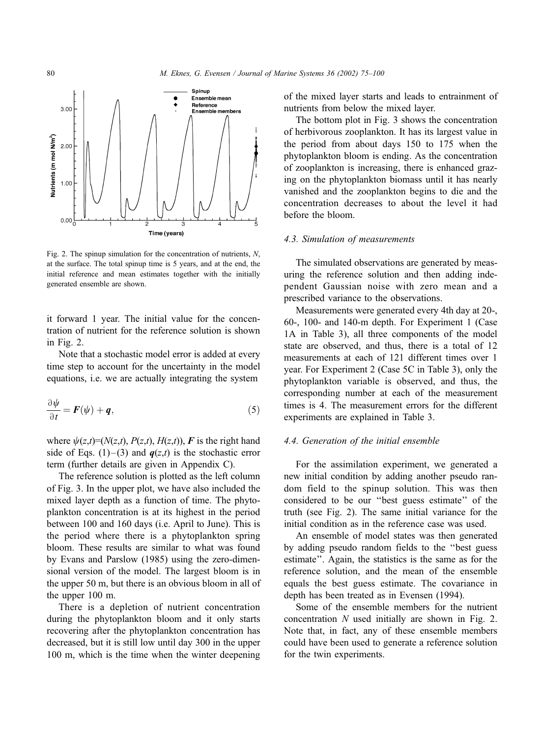

Fig. 2. The spinup simulation for the concentration of nutrients,  $N$ , at the surface. The total spinup time is 5 years, and at the end, the initial reference and mean estimates together with the initially generated ensemble are shown.

it forward 1 year. The initial value for the concentration of nutrient for the reference solution is shown in Fig. 2.

Note that a stochastic model error is added at every time step to account for the uncertainty in the model equations, i.e. we are actually integrating the system

$$
\frac{\partial \psi}{\partial t} = \boldsymbol{F}(\psi) + \boldsymbol{q},\tag{5}
$$

where  $\psi(z,t)=(N(z,t), P(z,t), H(z,t)),$  F is the right hand side of Eqs. (1)–(3) and  $q(z,t)$  is the stochastic error term (further details are given in Appendix C).

The reference solution is plotted as the left column of Fig. 3. In the upper plot, we have also included the mixed layer depth as a function of time. The phytoplankton concentration is at its highest in the period between 100 and 160 days (i.e. April to June). This is the period where there is a phytoplankton spring bloom. These results are similar to what was found by Evans and Parslow (1985) using the zero-dimensional version of the model. The largest bloom is in the upper 50 m, but there is an obvious bloom in all of the upper 100 m.

There is a depletion of nutrient concentration during the phytoplankton bloom and it only starts recovering after the phytoplankton concentration has decreased, but it is still low until day 300 in the upper 100 m, which is the time when the winter deepening of the mixed layer starts and leads to entrainment of nutrients from below the mixed layer.

The bottom plot in Fig. 3 shows the concentration of herbivorous zooplankton. It has its largest value in the period from about days 150 to 175 when the phytoplankton bloom is ending. As the concentration of zooplankton is increasing, there is enhanced grazing on the phytoplankton biomass until it has nearly vanished and the zooplankton begins to die and the concentration decreases to about the level it had before the bloom.

#### 4.3. Simulation of measurements

The simulated observations are generated by measuring the reference solution and then adding independent Gaussian noise with zero mean and a prescribed variance to the observations.

Measurements were generated every 4th day at 20-, 60-, 100- and 140-m depth. For Experiment 1 (Case 1A in Table 3), all three components of the model state are observed, and thus, there is a total of 12 measurements at each of 121 different times over 1 year. For Experiment 2 (Case 5C in Table 3), only the phytoplankton variable is observed, and thus, the corresponding number at each of the measurement times is 4. The measurement errors for the different experiments are explained in Table 3.

# 4.4. Generation of the initial ensemble

For the assimilation experiment, we generated a new initial condition by adding another pseudo random field to the spinup solution. This was then considered to be our ''best guess estimate'' of the truth (see Fig. 2). The same initial variance for the initial condition as in the reference case was used.

An ensemble of model states was then generated by adding pseudo random fields to the ''best guess estimate''. Again, the statistics is the same as for the reference solution, and the mean of the ensemble equals the best guess estimate. The covariance in depth has been treated as in Evensen (1994).

Some of the ensemble members for the nutrient concentration N used initially are shown in Fig. 2. Note that, in fact, any of these ensemble members could have been used to generate a reference solution for the twin experiments.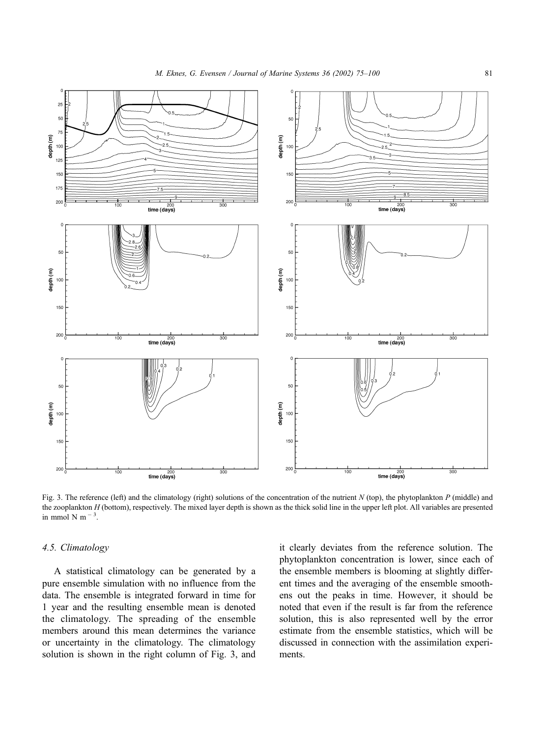

Fig. 3. The reference (left) and the climatology (right) solutions of the concentration of the nutrient  $N$  (top), the phytoplankton  $P$  (middle) and the zooplankton  $H$  (bottom), respectively. The mixed layer depth is shown as the thick solid line in the upper left plot. All variables are presented in mmol N m $^{-3}$ .

## 4.5. Climatology

A statistical climatology can be generated by a pure ensemble simulation with no influence from the data. The ensemble is integrated forward in time for 1 year and the resulting ensemble mean is denoted the climatology. The spreading of the ensemble members around this mean determines the variance or uncertainty in the climatology. The climatology solution is shown in the right column of Fig. 3, and it clearly deviates from the reference solution. The phytoplankton concentration is lower, since each of the ensemble members is blooming at slightly different times and the averaging of the ensemble smoothens out the peaks in time. However, it should be noted that even if the result is far from the reference solution, this is also represented well by the error estimate from the ensemble statistics, which will be discussed in connection with the assimilation experiments.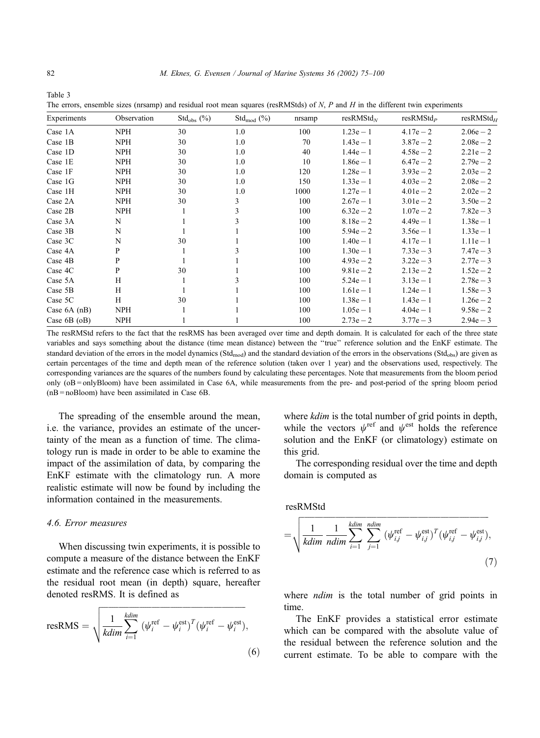| Experiments    | Observation | $Stdobs$ (%) | $Std_{mod} (%)$ | nrsamp | resRMStd <sub>N</sub> | $resRMStd_P$ | $resRMStd_{H}$ |
|----------------|-------------|--------------|-----------------|--------|-----------------------|--------------|----------------|
| Case 1A        | <b>NPH</b>  | 30           | 1.0             | 100    | $1.23e - 1$           | $4.17e - 2$  | $2.06e - 2$    |
| Case 1B        | <b>NPH</b>  | 30           | 1.0             | 70     | $1.43e - 1$           | $3.87e - 2$  | $2.08e - 2$    |
| Case 1D        | NPH         | 30           | 1.0             | 40     | $1.44e - 1$           | $4.58e - 2$  | $2.21e - 2$    |
| Case 1E        | <b>NPH</b>  | 30           | 1.0             | 10     | $1.86e - 1$           | $6.47e - 2$  | $2.79e - 2$    |
| Case 1F        | <b>NPH</b>  | 30           | 1.0             | 120    | $1.28e - 1$           | $3.93e - 2$  | $2.03e - 2$    |
| Case 1G        | NPH         | 30           | 1.0             | 150    | $1.33e - 1$           | $4.03e - 2$  | $2.08e - 2$    |
| Case 1H        | NPH         | 30           | 1.0             | 1000   | $1.27e - 1$           | $4.01e - 2$  | $2.02e - 2$    |
| Case 2A        | <b>NPH</b>  | 30           | 3               | 100    | $2.67e - 1$           | $3.01e - 2$  | $3.50e - 2$    |
| Case 2B        | <b>NPH</b>  |              | 3               | 100    | $6.32e - 2$           | $1.07e - 2$  | $7.82e - 3$    |
| Case 3A        | N           |              |                 | 100    | $8.18e - 2$           | $4.49e - 1$  | $1.38e - 1$    |
| Case 3B        | N           |              |                 | 100    | $5.94e - 2$           | $3.56e - 1$  | $1.33e - 1$    |
| Case 3C        | N           | 30           |                 | 100    | $1.40e - 1$           | $4.17e - 1$  | $1.11e-1$      |
| Case 4A        | P           |              | 3               | 100    | $1.30e - 1$           | $7.33e - 3$  | $7.47e - 3$    |
| Case 4B        | P           |              |                 | 100    | $4.93e - 2$           | $3.22e - 3$  | $2.77e - 3$    |
| Case 4C        | P           | 30           |                 | 100    | $9.81e - 2$           | $2.13e - 2$  | $1.52e - 2$    |
| Case 5A        | H           |              |                 | 100    | $5.24e - 1$           | $3.13e - 1$  | $2.78e - 3$    |
| Case 5B        | H           |              |                 | 100    | $1.61e - 1$           | $1.24e - 1$  | $1.58e - 3$    |
| Case 5C        | H           | 30           |                 | 100    | $1.38e - 1$           | $1.43e - 1$  | $1.26e - 2$    |
| Case $6A$ (nB) | <b>NPH</b>  |              |                 | 100    | $1.05e - 1$           | $4.04e - 1$  | $9.58e - 2$    |
| Case $6B(0B)$  | <b>NPH</b>  |              |                 | 100    | $2.73e - 2$           | $3.77e - 3$  | $2.94e - 3$    |

Table 3 The errors, ensemble sizes (preamp) and residual root mean squares (resRMStds) of N, P and H in the different twin experiments

The resRMStd refers to the fact that the resRMS has been averaged over time and depth domain. It is calculated for each of the three state variables and says something about the distance (time mean distance) between the ''true'' reference solution and the EnKF estimate. The standard deviation of the errors in the model dynamics ( $Std_{mod}$ ) and the standard deviation of the errors in the observations ( $Std_{obs}$ ) are given as certain percentages of the time and depth mean of the reference solution (taken over 1 year) and the observations used, respectively. The corresponding variances are the squares of the numbers found by calculating these percentages. Note that measurements from the bloom period only (oB = onlyBloom) have been assimilated in Case 6A, while measurements from the pre- and post-period of the spring bloom period (nB = noBloom) have been assimilated in Case 6B.

The spreading of the ensemble around the mean, i.e. the variance, provides an estimate of the uncertainty of the mean as a function of time. The climatology run is made in order to be able to examine the impact of the assimilation of data, by comparing the EnKF estimate with the climatology run. A more realistic estimate will now be found by including the information contained in the measurements.

## 4.6. Error measures

When discussing twin experiments, it is possible to compute a measure of the distance between the EnKF estimate and the reference case which is referred to as the residual root mean (in depth) square, hereafter denoted resRMS. It is defined as

$$
resRMS = \sqrt{\frac{1}{kdim} \sum_{i=1}^{kdim} (\psi_i^{ref} - \psi_i^{est})^T (\psi_i^{ref} - \psi_i^{est})},
$$
\n(6)

where *kdim* is the total number of grid points in depth, while the vectors  $\psi^{\text{ref}}$  and  $\psi^{\text{est}}$  holds the reference solution and the EnKF (or climatology) estimate on this grid.

The corresponding residual over the time and depth domain is computed as

resRMStd

$$
= \sqrt{\frac{1}{kdim} \frac{1}{ndim} \sum_{i=1}^{kdim} \sum_{j=1}^{ndim} (\psi_{i,j}^{\text{ref}} - \psi_{i,j}^{\text{est}})^T (\psi_{i,j}^{\text{ref}} - \psi_{i,j}^{\text{est}})},
$$
\n(7)

where *ndim* is the total number of grid points in time.

The EnKF provides a statistical error estimate which can be compared with the absolute value of the residual between the reference solution and the current estimate. To be able to compare with the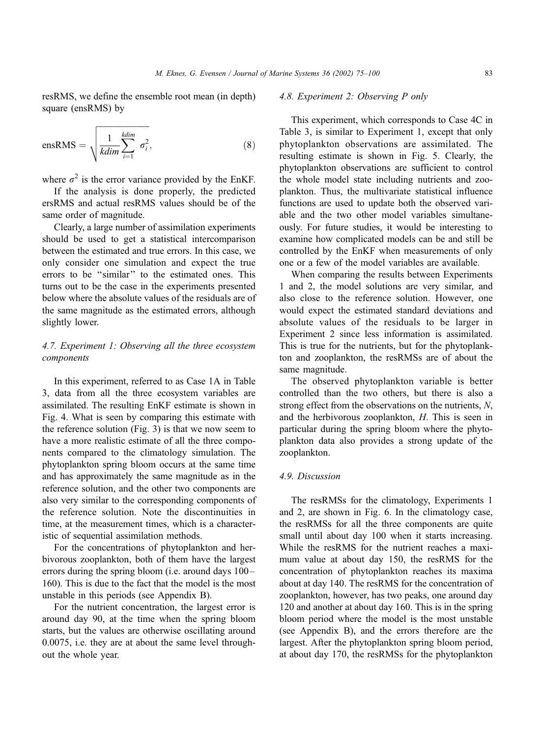resRMS, we define the ensemble root mean (in depth) square (ensRMS) by

$$
ensRMS = \sqrt{\frac{1}{kdim} \sum_{i=1}^{kdim} \sigma_i^2},
$$
\n(8)

where  $\sigma^2$  is the error variance provided by the EnKF.

If the analysis is done properly, the predicted ersRMS and actual resRMS values should be of the same order of magnitude.

Clearly, a large number of assimilation experiments should be used to get a statistical intercomparison between the estimated and true errors. In this case, we only consider one simulation and expect the true errors to be ''similar'' to the estimated ones. This turns out to be the case in the experiments presented below where the absolute values of the residuals are of the same magnitude as the estimated errors, although slightly lower.

# 4.7. Experiment 1: Observing all the three ecosystem components

In this experiment, referred to as Case 1A in Table 3, data from all the three ecosystem variables are assimilated. The resulting EnKF estimate is shown in Fig. 4. What is seen by comparing this estimate with the reference solution (Fig. 3) is that we now seem to have a more realistic estimate of all the three components compared to the climatology simulation. The phytoplankton spring bloom occurs at the same time and has approximately the same magnitude as in the reference solution, and the other two components are also very similar to the corresponding components of the reference solution. Note the discontinuities in time, at the measurement times, which is a characteristic of sequential assimilation methods.

For the concentrations of phytoplankton and herbivorous zooplankton, both of them have the largest errors during the spring bloom (i.e. around days 100– 160). This is due to the fact that the model is the most unstable in this periods (see Appendix B).

For the nutrient concentration, the largest error is around day 90, at the time when the spring bloom starts, but the values are otherwise oscillating around 0.0075, i.e. they are at about the same level throughout the whole year.

## 4.8. Experiment 2: Observing P only

This experiment, which corresponds to Case 4C in Table 3, is similar to Experiment 1, except that only phytoplankton observations are assimilated. The resulting estimate is shown in Fig. 5. Clearly, the phytoplankton observations are sufficient to control the whole model state including nutrients and zooplankton. Thus, the multivariate statistical influence functions are used to update both the observed variable and the two other model variables simultaneously. For future studies, it would be interesting to examine how complicated models can be and still be controlled by the EnKF when measurements of only one or a few of the model variables are available.

When comparing the results between Experiments 1 and 2, the model solutions are very similar, and also close to the reference solution. However, one would expect the estimated standard deviations and absolute values of the residuals to be larger in Experiment 2 since less information is assimilated. This is true for the nutrients, but for the phytoplankton and zooplankton, the resRMSs are of about the same magnitude.

The observed phytoplankton variable is better controlled than the two others, but there is also a strong effect from the observations on the nutrients, N, and the herbivorous zooplankton, H. This is seen in particular during the spring bloom where the phytoplankton data also provides a strong update of the zooplankton.

## 4.9. Discussion

The resRMSs for the climatology, Experiments 1 and 2, are shown in Fig. 6. In the climatology case, the resRMSs for all the three components are quite small until about day 100 when it starts increasing. While the resRMS for the nutrient reaches a maximum value at about day 150, the resRMS for the concentration of phytoplankton reaches its maxima about at day 140. The resRMS for the concentration of zooplankton, however, has two peaks, one around day 120 and another at about day 160. This is in the spring bloom period where the model is the most unstable (see Appendix B), and the errors therefore are the largest. After the phytoplankton spring bloom period, at about day 170, the resRMSs for the phytoplankton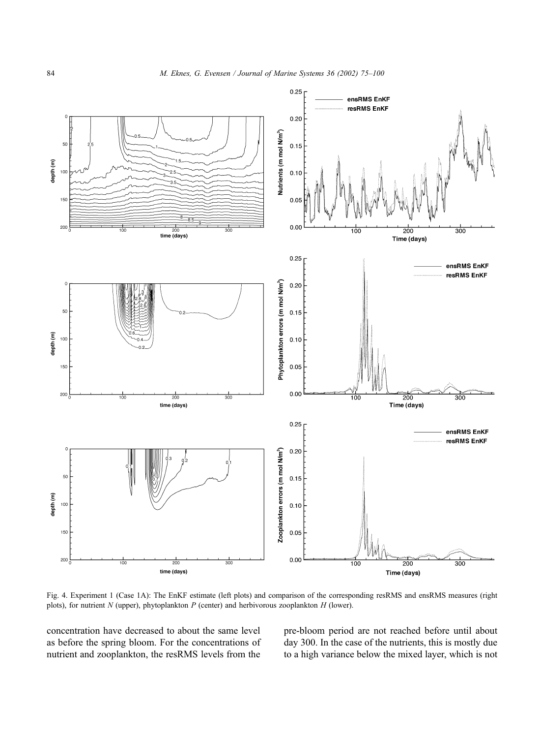

Fig. 4. Experiment 1 (Case 1A): The EnKF estimate (left plots) and comparison of the corresponding resRMS and ensRMS measures (right plots), for nutrient  $N$  (upper), phytoplankton  $P$  (center) and herbivorous zooplankton  $H$  (lower).

concentration have decreased to about the same level as before the spring bloom. For the concentrations of nutrient and zooplankton, the resRMS levels from the pre-bloom period are not reached before until about day 300. In the case of the nutrients, this is mostly due to a high variance below the mixed layer, which is not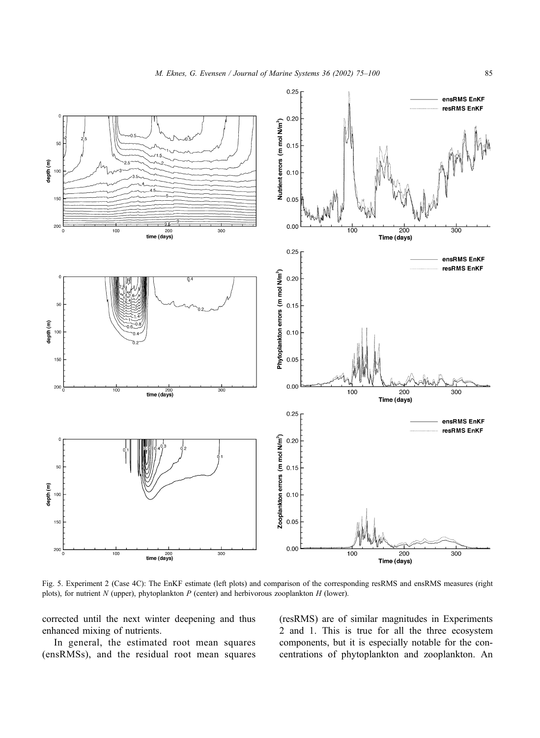M. Eknes, G. Evensen / Journal of Marine Systems 36 (2002) 75–100 85



Fig. 5. Experiment 2 (Case 4C): The EnKF estimate (left plots) and comparison of the corresponding resRMS and ensRMS measures (right plots), for nutrient N (upper), phytoplankton P (center) and herbivorous zooplankton  $H$  (lower).

corrected until the next winter deepening and thus enhanced mixing of nutrients.

In general, the estimated root mean squares (ensRMSs), and the residual root mean squares

(resRMS) are of similar magnitudes in Experiments 2 and 1. This is true for all the three ecosystem components, but it is especially notable for the concentrations of phytoplankton and zooplankton. An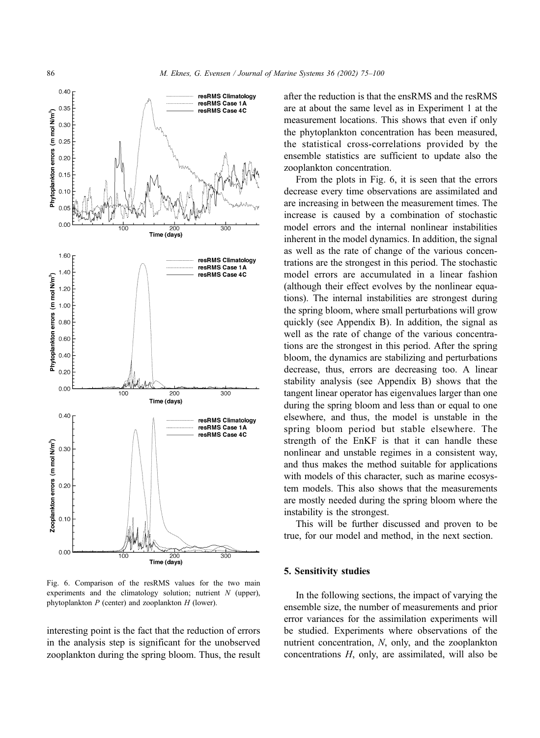

Fig. 6. Comparison of the resRMS values for the two main experiments and the climatology solution; nutrient  $N$  (upper), phytoplankton  $P$  (center) and zooplankton  $H$  (lower).

interesting point is the fact that the reduction of errors in the analysis step is significant for the unobserved zooplankton during the spring bloom. Thus, the result after the reduction is that the ensRMS and the resRMS are at about the same level as in Experiment 1 at the measurement locations. This shows that even if only the phytoplankton concentration has been measured, the statistical cross-correlations provided by the ensemble statistics are sufficient to update also the zooplankton concentration.

From the plots in Fig. 6, it is seen that the errors decrease every time observations are assimilated and are increasing in between the measurement times. The increase is caused by a combination of stochastic model errors and the internal nonlinear instabilities inherent in the model dynamics. In addition, the signal as well as the rate of change of the various concentrations are the strongest in this period. The stochastic model errors are accumulated in a linear fashion (although their effect evolves by the nonlinear equations). The internal instabilities are strongest during the spring bloom, where small perturbations will grow quickly (see Appendix B). In addition, the signal as well as the rate of change of the various concentrations are the strongest in this period. After the spring bloom, the dynamics are stabilizing and perturbations decrease, thus, errors are decreasing too. A linear stability analysis (see Appendix B) shows that the tangent linear operator has eigenvalues larger than one during the spring bloom and less than or equal to one elsewhere, and thus, the model is unstable in the spring bloom period but stable elsewhere. The strength of the EnKF is that it can handle these nonlinear and unstable regimes in a consistent way, and thus makes the method suitable for applications with models of this character, such as marine ecosystem models. This also shows that the measurements are mostly needed during the spring bloom where the instability is the strongest.

This will be further discussed and proven to be true, for our model and method, in the next section.

#### 5. Sensitivity studies

In the following sections, the impact of varying the ensemble size, the number of measurements and prior error variances for the assimilation experiments will be studied. Experiments where observations of the nutrient concentration, N, only, and the zooplankton concentrations H, only, are assimilated, will also be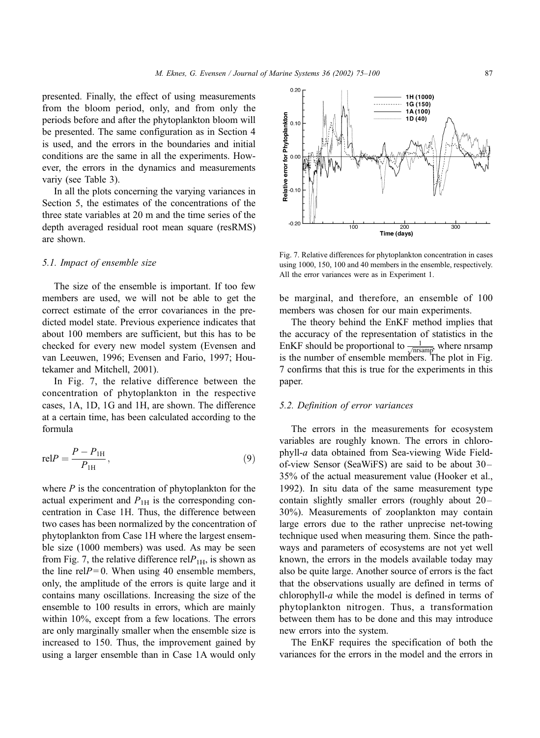presented. Finally, the effect of using measurements from the bloom period, only, and from only the periods before and after the phytoplankton bloom will be presented. The same configuration as in Section 4 is used, and the errors in the boundaries and initial conditions are the same in all the experiments. However, the errors in the dynamics and measurements variy (see Table 3).

In all the plots concerning the varying variances in Section 5, the estimates of the concentrations of the three state variables at 20 m and the time series of the depth averaged residual root mean square (resRMS) are shown.

#### 5.1. Impact of ensemble size

The size of the ensemble is important. If too few members are used, we will not be able to get the correct estimate of the error covariances in the predicted model state. Previous experience indicates that about 100 members are sufficient, but this has to be checked for every new model system (Evensen and van Leeuwen, 1996; Evensen and Fario, 1997; Houtekamer and Mitchell, 2001).

In Fig. 7, the relative difference between the concentration of phytoplankton in the respective cases, 1A, 1D, 1G and 1H, are shown. The difference at a certain time, has been calculated according to the formula

$$
relP = \frac{P - P_{1H}}{P_{1H}},\tag{9}
$$

where  $P$  is the concentration of phytoplankton for the actual experiment and  $P_{1H}$  is the corresponding concentration in Case 1H. Thus, the difference between two cases has been normalized by the concentration of phytoplankton from Case 1H where the largest ensemble size (1000 members) was used. As may be seen from Fig. 7, the relative difference rel $P_{1H}$ , is shown as the line rel $P= 0$ . When using 40 ensemble members, only, the amplitude of the errors is quite large and it contains many oscillations. Increasing the size of the ensemble to 100 results in errors, which are mainly within 10%, except from a few locations. The errors are only marginally smaller when the ensemble size is increased to 150. Thus, the improvement gained by using a larger ensemble than in Case 1A would only



Fig. 7. Relative differences for phytoplankton concentration in cases using 1000, 150, 100 and 40 members in the ensemble, respectively. All the error variances were as in Experiment 1.

be marginal, and therefore, an ensemble of 100 members was chosen for our main experiments.

The theory behind the EnKF method implies that the accuracy of the representation of statistics in the EnKF should be proportional to  $\frac{1}{\sqrt{nrsamp}}$  where nrsamp is the number of ensemble members. The plot in Fig. 7 confirms that this is true for the experiments in this paper.

## 5.2. Definition of error variances

The errors in the measurements for ecosystem variables are roughly known. The errors in chlorophyll-a data obtained from Sea-viewing Wide Fieldof-view Sensor (SeaWiFS) are said to be about 30 – 35% of the actual measurement value (Hooker et al., 1992). In situ data of the same measurement type contain slightly smaller errors (roughly about 20-30%). Measurements of zooplankton may contain large errors due to the rather unprecise net-towing technique used when measuring them. Since the pathways and parameters of ecosystems are not yet well known, the errors in the models available today may also be quite large. Another source of errors is the fact that the observations usually are defined in terms of chlorophyll- $a$  while the model is defined in terms of phytoplankton nitrogen. Thus, a transformation between them has to be done and this may introduce new errors into the system.

The EnKF requires the specification of both the variances for the errors in the model and the errors in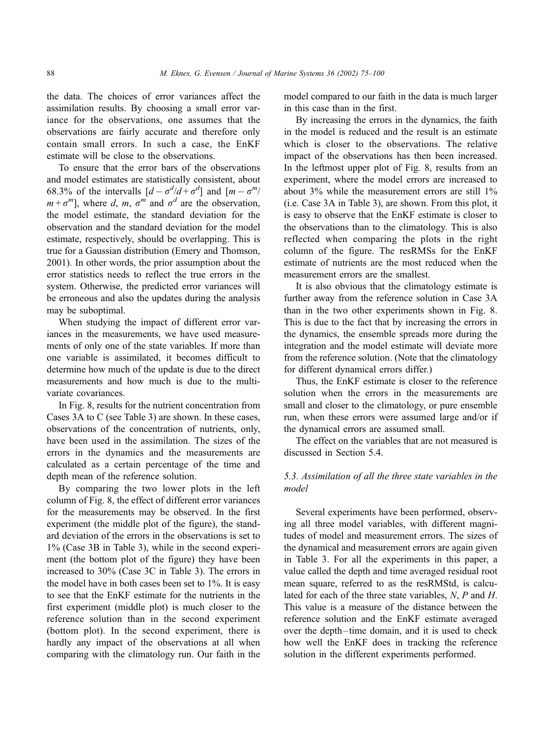the data. The choices of error variances affect the assimilation results. By choosing a small error variance for the observations, one assumes that the observations are fairly accurate and therefore only contain small errors. In such a case, the EnKF estimate will be close to the observations.

To ensure that the error bars of the observations and model estimates are statistically consistent, about 68.3% of the intervalls  $[d - \sigma^d/d + \sigma^d]$  and  $[m - \sigma^m/d]$  $m + \sigma^m$ , where d, m,  $\sigma^m$  and  $\sigma^d$  are the observation, the model estimate, the standard deviation for the observation and the standard deviation for the model estimate, respectively, should be overlapping. This is true for a Gaussian distribution (Emery and Thomson, 2001). In other words, the prior assumption about the error statistics needs to reflect the true errors in the system. Otherwise, the predicted error variances will be erroneous and also the updates during the analysis may be suboptimal.

When studying the impact of different error variances in the measurements, we have used measurements of only one of the state variables. If more than one variable is assimilated, it becomes difficult to determine how much of the update is due to the direct measurements and how much is due to the multivariate covariances.

In Fig. 8, results for the nutrient concentration from Cases 3A to C (see Table 3) are shown. In these cases, observations of the concentration of nutrients, only, have been used in the assimilation. The sizes of the errors in the dynamics and the measurements are calculated as a certain percentage of the time and depth mean of the reference solution.

By comparing the two lower plots in the left column of Fig. 8, the effect of different error variances for the measurements may be observed. In the first experiment (the middle plot of the figure), the standard deviation of the errors in the observations is set to 1% (Case 3B in Table 3), while in the second experiment (the bottom plot of the figure) they have been increased to 30% (Case 3C in Table 3). The errors in the model have in both cases been set to 1%. It is easy to see that the EnKF estimate for the nutrients in the first experiment (middle plot) is much closer to the reference solution than in the second experiment (bottom plot). In the second experiment, there is hardly any impact of the observations at all when comparing with the climatology run. Our faith in the model compared to our faith in the data is much larger in this case than in the first.

By increasing the errors in the dynamics, the faith in the model is reduced and the result is an estimate which is closer to the observations. The relative impact of the observations has then been increased. In the leftmost upper plot of Fig. 8, results from an experiment, where the model errors are increased to about 3% while the measurement errors are still 1% (i.e. Case 3A in Table 3), are shown. From this plot, it is easy to observe that the EnKF estimate is closer to the observations than to the climatology. This is also reflected when comparing the plots in the right column of the figure. The resRMSs for the EnKF estimate of nutrients are the most reduced when the measurement errors are the smallest.

It is also obvious that the climatology estimate is further away from the reference solution in Case 3A than in the two other experiments shown in Fig. 8. This is due to the fact that by increasing the errors in the dynamics, the ensemble spreads more during the integration and the model estimate will deviate more from the reference solution. (Note that the climatology for different dynamical errors differ.)

Thus, the EnKF estimate is closer to the reference solution when the errors in the measurements are small and closer to the climatology, or pure ensemble run, when these errors were assumed large and/or if the dynamical errors are assumed small.

The effect on the variables that are not measured is discussed in Section 5.4.

## 5.3. Assimilation of all the three state variables in the model

Several experiments have been performed, observing all three model variables, with different magnitudes of model and measurement errors. The sizes of the dynamical and measurement errors are again given in Table 3. For all the experiments in this paper, a value called the depth and time averaged residual root mean square, referred to as the resRMStd, is calculated for each of the three state variables, N, P and H. This value is a measure of the distance between the reference solution and the EnKF estimate averaged over the depth –time domain, and it is used to check how well the EnKF does in tracking the reference solution in the different experiments performed.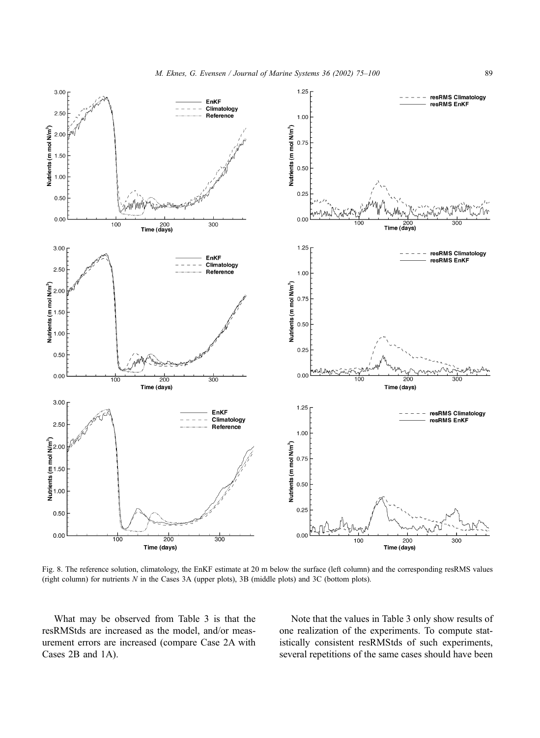

Fig. 8. The reference solution, climatology, the EnKF estimate at 20 m below the surface (left column) and the corresponding resRMS values (right column) for nutrients N in the Cases 3A (upper plots), 3B (middle plots) and 3C (bottom plots).

What may be observed from Table 3 is that the resRMStds are increased as the model, and/or measurement errors are increased (compare Case 2A with Cases 2B and 1A).

Note that the values in Table 3 only show results of one realization of the experiments. To compute statistically consistent resRMStds of such experiments, several repetitions of the same cases should have been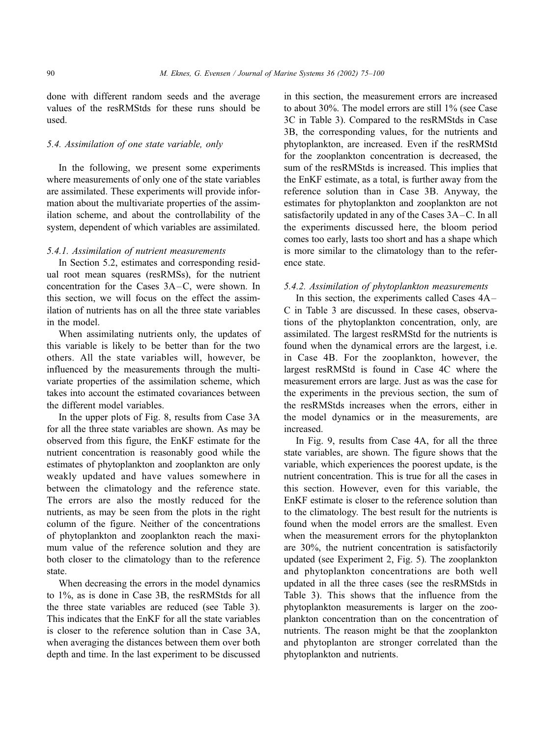done with different random seeds and the average values of the resRMStds for these runs should be used.

## 5.4. Assimilation of one state variable, only

In the following, we present some experiments where measurements of only one of the state variables are assimilated. These experiments will provide information about the multivariate properties of the assimilation scheme, and about the controllability of the system, dependent of which variables are assimilated.

#### 5.4.1. Assimilation of nutrient measurements

In Section 5.2, estimates and corresponding residual root mean squares (resRMSs), for the nutrient concentration for the Cases 3A –C, were shown. In this section, we will focus on the effect the assimilation of nutrients has on all the three state variables in the model.

When assimilating nutrients only, the updates of this variable is likely to be better than for the two others. All the state variables will, however, be influenced by the measurements through the multivariate properties of the assimilation scheme, which takes into account the estimated covariances between the different model variables.

In the upper plots of Fig. 8, results from Case 3A for all the three state variables are shown. As may be observed from this figure, the EnKF estimate for the nutrient concentration is reasonably good while the estimates of phytoplankton and zooplankton are only weakly updated and have values somewhere in between the climatology and the reference state. The errors are also the mostly reduced for the nutrients, as may be seen from the plots in the right column of the figure. Neither of the concentrations of phytoplankton and zooplankton reach the maximum value of the reference solution and they are both closer to the climatology than to the reference state.

When decreasing the errors in the model dynamics to 1%, as is done in Case 3B, the resRMStds for all the three state variables are reduced (see Table 3). This indicates that the EnKF for all the state variables is closer to the reference solution than in Case 3A, when averaging the distances between them over both depth and time. In the last experiment to be discussed in this section, the measurement errors are increased to about 30%. The model errors are still 1% (see Case 3C in Table 3). Compared to the resRMStds in Case 3B, the corresponding values, for the nutrients and phytoplankton, are increased. Even if the resRMStd for the zooplankton concentration is decreased, the sum of the resRMStds is increased. This implies that the EnKF estimate, as a total, is further away from the reference solution than in Case 3B. Anyway, the estimates for phytoplankton and zooplankton are not satisfactorily updated in any of the Cases 3A –C. In all the experiments discussed here, the bloom period comes too early, lasts too short and has a shape which is more similar to the climatology than to the reference state.

#### 5.4.2. Assimilation of phytoplankton measurements

In this section, the experiments called Cases 4A – C in Table 3 are discussed. In these cases, observations of the phytoplankton concentration, only, are assimilated. The largest resRMStd for the nutrients is found when the dynamical errors are the largest, i.e. in Case 4B. For the zooplankton, however, the largest resRMStd is found in Case 4C where the measurement errors are large. Just as was the case for the experiments in the previous section, the sum of the resRMStds increases when the errors, either in the model dynamics or in the measurements, are increased.

In Fig. 9, results from Case 4A, for all the three state variables, are shown. The figure shows that the variable, which experiences the poorest update, is the nutrient concentration. This is true for all the cases in this section. However, even for this variable, the EnKF estimate is closer to the reference solution than to the climatology. The best result for the nutrients is found when the model errors are the smallest. Even when the measurement errors for the phytoplankton are 30%, the nutrient concentration is satisfactorily updated (see Experiment 2, Fig. 5). The zooplankton and phytoplankton concentrations are both well updated in all the three cases (see the resRMStds in Table 3). This shows that the influence from the phytoplankton measurements is larger on the zooplankton concentration than on the concentration of nutrients. The reason might be that the zooplankton and phytoplanton are stronger correlated than the phytoplankton and nutrients.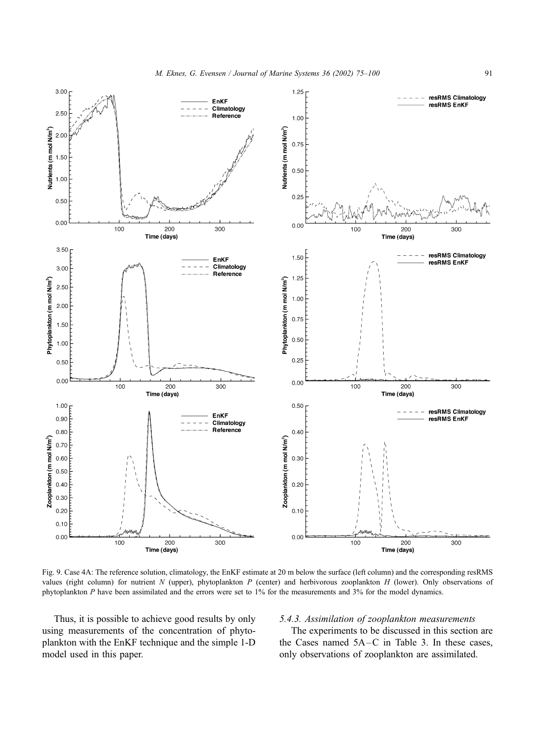

Fig. 9. Case 4A: The reference solution, climatology, the EnKF estimate at 20 m below the surface (left column) and the corresponding resRMS values (right column) for nutrient  $N$  (upper), phytoplankton  $P$  (center) and herbivorous zooplankton  $H$  (lower). Only observations of phytoplankton P have been assimilated and the errors were set to 1% for the measurements and 3% for the model dynamics.

Thus, it is possible to achieve good results by only using measurements of the concentration of phytoplankton with the EnKF technique and the simple 1-D model used in this paper.

# 5.4.3. Assimilation of zooplankton measurements

The experiments to be discussed in this section are the Cases named  $5A-C$  in Table 3. In these cases, only observations of zooplankton are assimilated.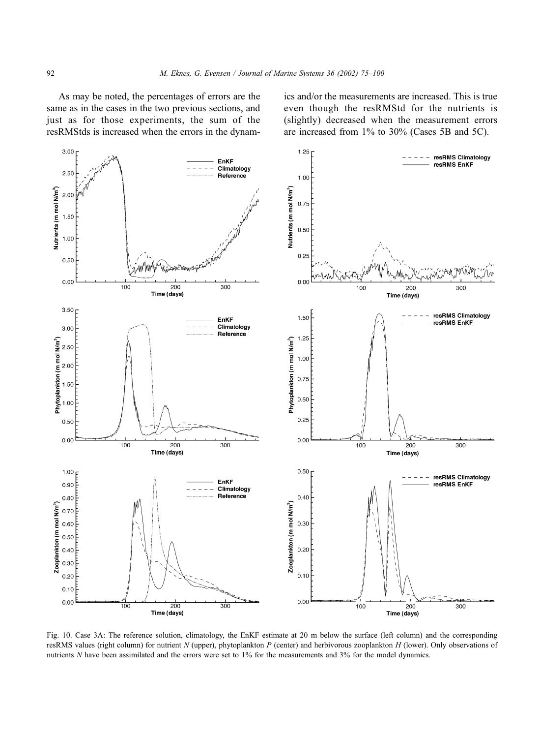As may be noted, the percentages of errors are the same as in the cases in the two previous sections, and just as for those experiments, the sum of the resRMStds is increased when the errors in the dynamics and/or the measurements are increased. This is true even though the resRMStd for the nutrients is (slightly) decreased when the measurement errors are increased from 1% to 30% (Cases 5B and 5C).



Fig. 10. Case 3A: The reference solution, climatology, the EnKF estimate at 20 m below the surface (left column) and the corresponding resRMS values (right column) for nutrient  $N$  (upper), phytoplankton  $P$  (center) and herbivorous zooplankton  $H$  (lower). Only observations of nutrients N have been assimilated and the errors were set to 1% for the measurements and 3% for the model dynamics.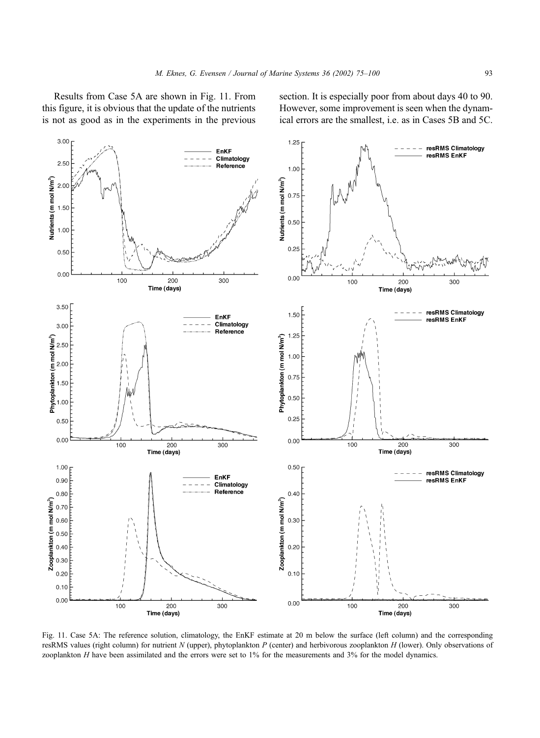Results from Case 5A are shown in Fig. 11. From this figure, it is obvious that the update of the nutrients is not as good as in the experiments in the previous

section. It is especially poor from about days 40 to 90. However, some improvement is seen when the dynamical errors are the smallest, i.e. as in Cases 5B and 5C.



Fig. 11. Case 5A: The reference solution, climatology, the EnKF estimate at 20 m below the surface (left column) and the corresponding resRMS values (right column) for nutrient  $N$  (upper), phytoplankton  $P$  (center) and herbivorous zooplankton  $H$  (lower). Only observations of zooplankton H have been assimilated and the errors were set to 1% for the measurements and 3% for the model dynamics.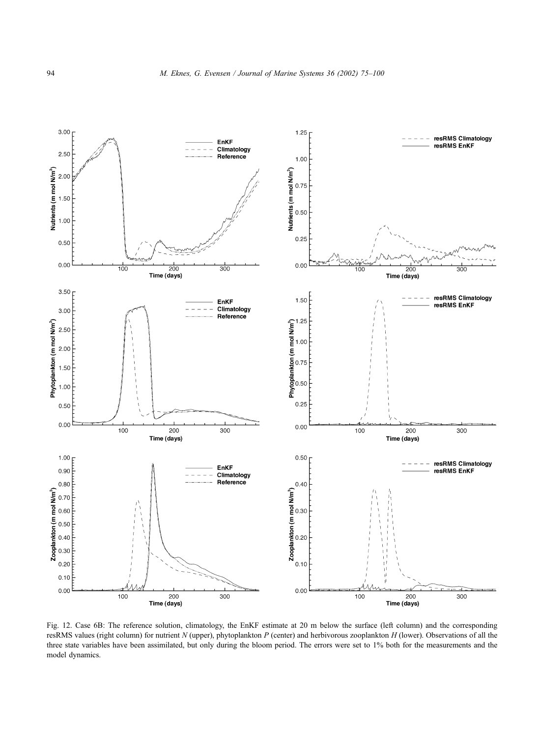

Fig. 12. Case 6B: The reference solution, climatology, the EnKF estimate at 20 m below the surface (left column) and the corresponding resRMS values (right column) for nutrient  $N$  (upper), phytoplankton  $P$  (center) and herbivorous zooplankton  $H$  (lower). Observations of all the three state variables have been assimilated, but only during the bloom period. The errors were set to 1% both for the measurements and the model dynamics.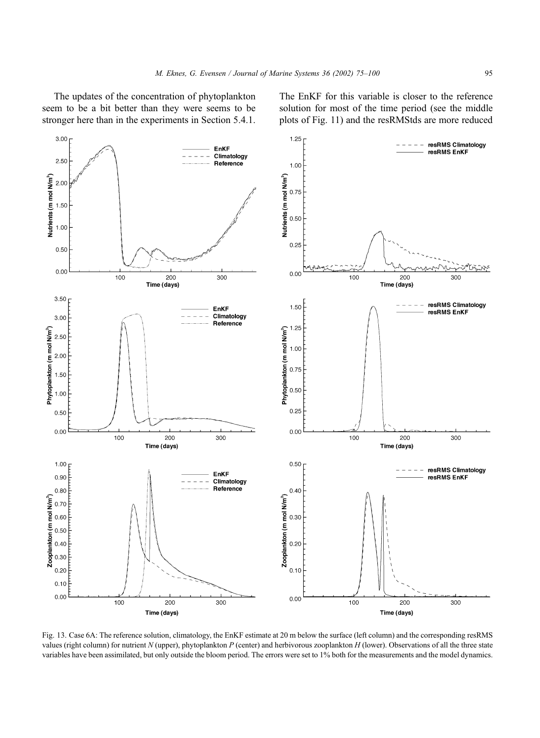The updates of the concentration of phytoplankton seem to be a bit better than they were seems to be stronger here than in the experiments in Section 5.4.1.

The EnKF for this variable is closer to the reference solution for most of the time period (see the middle plots of Fig. 11) and the resRMStds are more reduced



Fig. 13. Case 6A: The reference solution, climatology, the EnKF estimate at 20 m below the surface (left column) and the corresponding resRMS values (right column) for nutrient  $N$  (upper), phytoplankton  $P$  (center) and herbivorous zooplankton  $H$  (lower). Observations of all the three state variables have been assimilated, but only outside the bloom period. The errors were set to 1% both for the measurements and the model dynamics.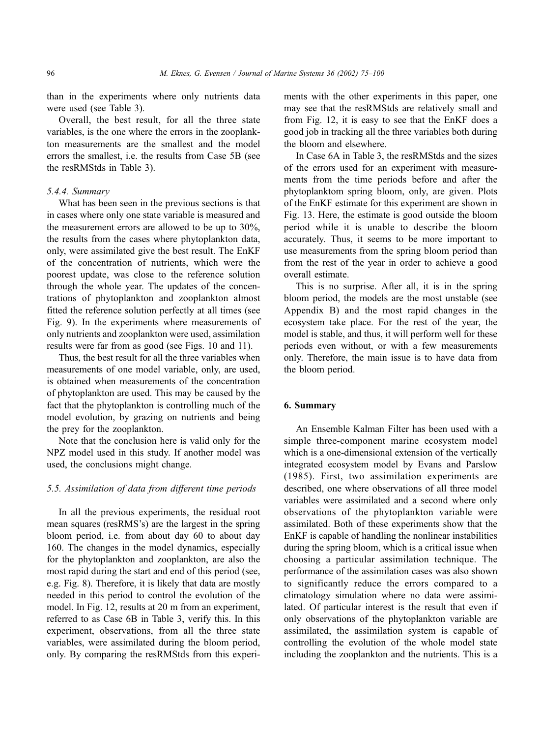than in the experiments where only nutrients data were used (see Table 3).

Overall, the best result, for all the three state variables, is the one where the errors in the zooplankton measurements are the smallest and the model errors the smallest, i.e. the results from Case 5B (see the resRMStds in Table 3).

## 5.4.4. Summary

What has been seen in the previous sections is that in cases where only one state variable is measured and the measurement errors are allowed to be up to 30%, the results from the cases where phytoplankton data, only, were assimilated give the best result. The EnKF of the concentration of nutrients, which were the poorest update, was close to the reference solution through the whole year. The updates of the concentrations of phytoplankton and zooplankton almost fitted the reference solution perfectly at all times (see Fig. 9). In the experiments where measurements of only nutrients and zooplankton were used, assimilation results were far from as good (see Figs. 10 and 11).

Thus, the best result for all the three variables when measurements of one model variable, only, are used, is obtained when measurements of the concentration of phytoplankton are used. This may be caused by the fact that the phytoplankton is controlling much of the model evolution, by grazing on nutrients and being the prey for the zooplankton.

Note that the conclusion here is valid only for the NPZ model used in this study. If another model was used, the conclusions might change.

## 5.5. Assimilation of data from different time periods

In all the previous experiments, the residual root mean squares (resRMS's) are the largest in the spring bloom period, i.e. from about day 60 to about day 160. The changes in the model dynamics, especially for the phytoplankton and zooplankton, are also the most rapid during the start and end of this period (see, e.g. Fig. 8). Therefore, it is likely that data are mostly needed in this period to control the evolution of the model. In Fig. 12, results at 20 m from an experiment, referred to as Case 6B in Table 3, verify this. In this experiment, observations, from all the three state variables, were assimilated during the bloom period, only. By comparing the resRMStds from this experiments with the other experiments in this paper, one may see that the resRMStds are relatively small and from Fig. 12, it is easy to see that the EnKF does a good job in tracking all the three variables both during the bloom and elsewhere.

In Case 6A in Table 3, the resRMStds and the sizes of the errors used for an experiment with measurements from the time periods before and after the phytoplanktom spring bloom, only, are given. Plots of the EnKF estimate for this experiment are shown in Fig. 13. Here, the estimate is good outside the bloom period while it is unable to describe the bloom accurately. Thus, it seems to be more important to use measurements from the spring bloom period than from the rest of the year in order to achieve a good overall estimate.

This is no surprise. After all, it is in the spring bloom period, the models are the most unstable (see Appendix B) and the most rapid changes in the ecosystem take place. For the rest of the year, the model is stable, and thus, it will perform well for these periods even without, or with a few measurements only. Therefore, the main issue is to have data from the bloom period.

#### 6. Summary

An Ensemble Kalman Filter has been used with a simple three-component marine ecosystem model which is a one-dimensional extension of the vertically integrated ecosystem model by Evans and Parslow (1985). First, two assimilation experiments are described, one where observations of all three model variables were assimilated and a second where only observations of the phytoplankton variable were assimilated. Both of these experiments show that the EnKF is capable of handling the nonlinear instabilities during the spring bloom, which is a critical issue when choosing a particular assimilation technique. The performance of the assimilation cases was also shown to significantly reduce the errors compared to a climatology simulation where no data were assimilated. Of particular interest is the result that even if only observations of the phytoplankton variable are assimilated, the assimilation system is capable of controlling the evolution of the whole model state including the zooplankton and the nutrients. This is a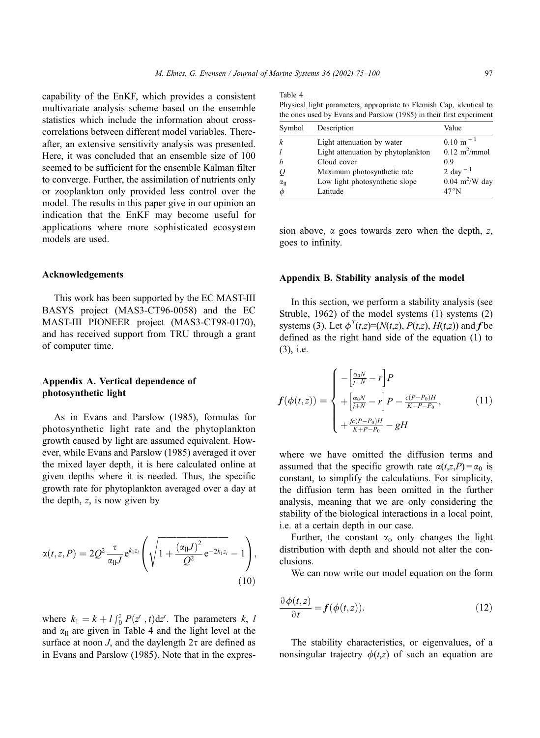capability of the EnKF, which provides a consistent multivariate analysis scheme based on the ensemble statistics which include the information about crosscorrelations between different model variables. Thereafter, an extensive sensitivity analysis was presented. Here, it was concluded that an ensemble size of 100 seemed to be sufficient for the ensemble Kalman filter to converge. Further, the assimilation of nutrients only or zooplankton only provided less control over the model. The results in this paper give in our opinion an indication that the EnKF may become useful for applications where more sophisticated ecosystem models are used.

#### Acknowledgements

This work has been supported by the EC MAST-III BASYS project (MAS3-CT96-0058) and the EC MAST-III PIONEER project (MAS3-CT98-0170), and has received support from TRU through a grant of computer time.

# Appendix A. Vertical dependence of photosynthetic light

As in Evans and Parslow (1985), formulas for photosynthetic light rate and the phytoplankton growth caused by light are assumed equivalent. However, while Evans and Parslow (1985) averaged it over the mixed layer depth, it is here calculated online at given depths where it is needed. Thus, the specific growth rate for phytoplankton averaged over a day at the depth, z, is now given by

$$
\alpha(t, z, P) = 2Q^2 \frac{\tau}{\alpha_{\text{II}} J} e^{k_1 z_i} \left( \sqrt{1 + \frac{(\alpha_{\text{II}} J)^2}{Q^2}} e^{-2k_1 z_i} - 1 \right),\tag{10}
$$

where  $k_1 = k + l \int_0^z P(z', t) dz'$ . The parameters k, l and  $\alpha_{\text{II}}$  are given in Table 4 and the light level at the surface at noon  $J$ , and the daylength  $2\tau$  are defined as in Evans and Parslow (1985). Note that in the expresTable 4 Physical light parameters, appropriate to Flemish Cap, identical to the ones used by Evans and Parslow (1985) in their first experiment

| Symbol           | Description                        | Value                           |
|------------------|------------------------------------|---------------------------------|
| k                | Light attenuation by water         | $0.10 \text{ m}^{-1}$           |
|                  | Light attenuation by phytoplankton | $0.12 \text{ m}^2/\text{mmol}$  |
| $\boldsymbol{h}$ | Cloud cover                        | 09                              |
| 0                | Maximum photosynthetic rate        | 2 day $^{-1}$                   |
| $\alpha_{11}$    | Low light photosynthetic slope     | $0.04 \text{ m}^2/\text{W}$ day |
| $\phi$           | Latitude                           | 47°N                            |

sion above,  $\alpha$  goes towards zero when the depth, z, goes to infinity.

#### Appendix B. Stability analysis of the model

In this section, we perform a stability analysis (see Struble, 1962) of the model systems (1) systems (2) systems (3). Let  $\phi^T(t,z)=(N(t,z), P(t,z), H(t,z))$  and f be defined as the right hand side of the equation (1) to (3), i.e.

$$
f(\phi(t,z)) = \begin{cases} -\left[\frac{\alpha_0 N}{j+N} - r\right] P \\ + \left[\frac{\alpha_0 N}{j+N} - r\right] P - \frac{c(P-P_0)H}{K+P-P_0}, \\ + \frac{fc(P-P_0)H}{K+P-P_0} - gH \end{cases}
$$
(11)

where we have omitted the diffusion terms and assumed that the specific growth rate  $\alpha(t,z,P) = \alpha_0$  is constant, to simplify the calculations. For simplicity, the diffusion term has been omitted in the further analysis, meaning that we are only considering the stability of the biological interactions in a local point, i.e. at a certain depth in our case.

Further, the constant  $\alpha_0$  only changes the light distribution with depth and should not alter the conclusions.

We can now write our model equation on the form

$$
\frac{\partial \phi(t,z)}{\partial t} = f(\phi(t,z)).\tag{12}
$$

The stability characteristics, or eigenvalues, of a nonsingular trajectry  $\phi(t,z)$  of such an equation are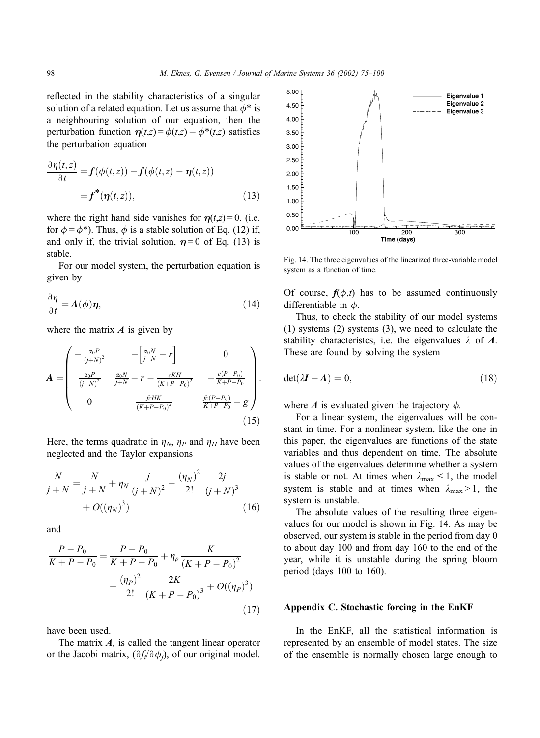reflected in the stability characteristics of a singular solution of a related equation. Let us assume that  $\phi^*$  is a neighbouring solution of our equation, then the perturbation function  $\eta(t,z) = \phi(t,z) - \phi^*(t,z)$  satisfies the perturbation equation

$$
\frac{\partial \eta(t, z)}{\partial t} = f(\phi(t, z)) - f(\phi(t, z) - \eta(t, z))
$$

$$
= f^*(\eta(t, z)), \tag{13}
$$

where the right hand side vanishes for  $\eta(t,z) = 0$ . (i.e. for  $\phi = \phi^*$ ). Thus,  $\phi$  is a stable solution of Eq. (12) if, and only if, the trivial solution,  $\eta = 0$  of Eq. (13) is stable.

For our model system, the perturbation equation is given by

$$
\frac{\partial \eta}{\partial t} = A(\phi)\eta,
$$
 (14)

where the matrix  $\vec{A}$  is given by

$$
A = \begin{pmatrix} -\frac{\alpha_0 P}{(j+N)^2} & -\left[\frac{\alpha_0 N}{j+N} - r\right] & 0\\ \frac{\alpha_0 P}{(j+N)^2} & \frac{\alpha_0 N}{j+N} - r - \frac{cKH}{(K+P-P_0)^2} & -\frac{c(P-P_0)}{K+P-P_0}\\ 0 & \frac{fcHK}{(K+P-P_0)^2} & \frac{fc(P-P_0)}{K+P-P_0} - g \end{pmatrix}.
$$
(15)

Here, the terms quadratic in  $\eta_N$ ,  $\eta_P$  and  $\eta_H$  have been neglected and the Taylor expansions

$$
\frac{N}{j+N} = \frac{N}{j+N} + \eta_N \frac{j}{(j+N)^2} - \frac{(\eta_N)^2}{2!} \frac{2j}{(j+N)^3} + O((\eta_N)^3)
$$
(16)

and

$$
\frac{P - P_0}{K + P - P_0} = \frac{P - P_0}{K + P - P_0} + \eta_p \frac{K}{(K + P - P_0)^2}
$$

$$
- \frac{(\eta_p)^2}{2!} \frac{2K}{(K + P - P_0)^3} + O((\eta_p)^3)
$$
(17)

have been used.

The matrix  $\vec{A}$ , is called the tangent linear operator or the Jacobi matrix,  $(\partial f_i/\partial \phi_j)$ , of our original model.



Fig. 14. The three eigenvalues of the linearized three-variable model system as a function of time.

Of course,  $f(\phi,t)$  has to be assumed continuously differentiable in  $\phi$ .

Thus, to check the stability of our model systems (1) systems (2) systems (3), we need to calculate the stability characteristes, i.e. the eigenvalues  $\lambda$  of A. These are found by solving the system

$$
\det(\lambda \mathbf{I} - \mathbf{A}) = 0,\tag{18}
$$

where  $\vec{A}$  is evaluated given the trajectory  $\phi$ .

For a linear system, the eigenvalues will be constant in time. For a nonlinear system, like the one in this paper, the eigenvalues are functions of the state variables and thus dependent on time. The absolute values of the eigenvalues determine whether a system is stable or not. At times when  $\lambda_{\text{max}} \le 1$ , the model system is stable and at times when  $\lambda_{\text{max}} > 1$ , the system is unstable.

The absolute values of the resulting three eigenvalues for our model is shown in Fig. 14. As may be observed, our system is stable in the period from day 0 to about day 100 and from day 160 to the end of the year, while it is unstable during the spring bloom period (days 100 to 160).

## Appendix C. Stochastic forcing in the EnKF

In the EnKF, all the statistical information is represented by an ensemble of model states. The size of the ensemble is normally chosen large enough to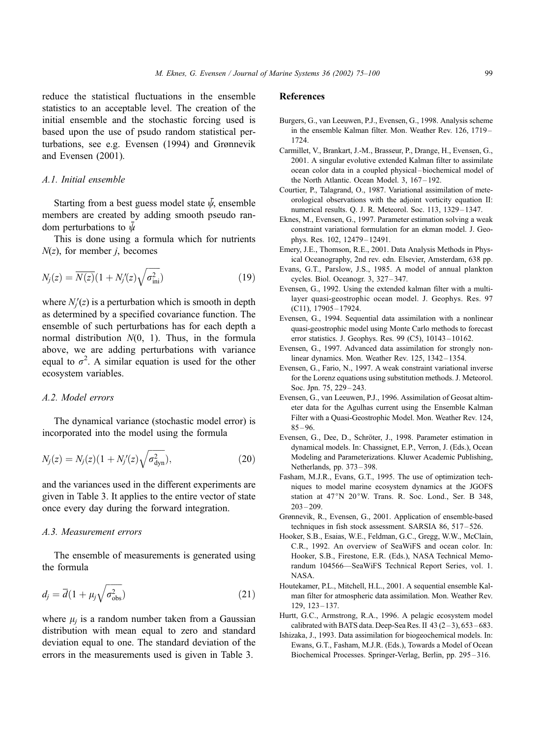reduce the statistical fluctuations in the ensemble statistics to an acceptable level. The creation of the initial ensemble and the stochastic forcing used is based upon the use of psudo random statistical perturbations, see e.g. Evensen (1994) and Grønnevik and Evensen (2001).

#### A.1. Initial ensemble

Starting from a best guess model state  $\bar{\psi}$ , ensemble members are created by adding smooth pseudo random perturbations to  $\bar{\psi}$ .

This is done using a formula which for nutrients  $N(z)$ , for member *j*, becomes

$$
N_j(z) = \overline{N(z)}(1 + N_j'(z)\sqrt{\sigma_{\text{ini}}^2})
$$
\n(19)

where  $N_i'(z)$  is a perturbation which is smooth in depth as determined by a specified covariance function. The ensemble of such perturbations has for each depth a normal distribution  $N(0, 1)$ . Thus, in the formula above, we are adding perturbations with variance equal to  $\sigma^2$ . A similar equation is used for the other ecosystem variables.

## A.2. Model errors

The dynamical variance (stochastic model error) is incorporated into the model using the formula

$$
N_j(z) = N_j(z)(1 + N_j'(z)\sqrt{\sigma_{\text{dyn}}^2}),
$$
\n(20)

and the variances used in the different experiments are given in Table 3. It applies to the entire vector of state once every day during the forward integration.

#### A.3. Measurement errors

The ensemble of measurements is generated using the formula

$$
d_j = \overline{d}(1 + \mu_j \sqrt{\sigma_{\text{obs}}^2})
$$
\n(21)

where  $\mu_i$  is a random number taken from a Gaussian distribution with mean equal to zero and standard deviation equal to one. The standard deviation of the errors in the measurements used is given in Table 3.

## References

- Burgers, G., van Leeuwen, P.J., Evensen, G., 1998. Analysis scheme in the ensemble Kalman filter. Mon. Weather Rev. 126, 1719 – 1724.
- Carmillet, V., Brankart, J.-M., Brasseur, P., Drange, H., Evensen, G., 2001. A singular evolutive extended Kalman filter to assimilate ocean color data in a coupled physical – biochemical model of the North Atlantic. Ocean Model. 3, 167-192.
- Courtier, P., Talagrand, O., 1987. Variational assimilation of meteorological observations with the adjoint vorticity equation II: numerical results. Q. J. R. Meteorol. Soc. 113, 1329 – 1347.
- Eknes, M., Evensen, G., 1997. Parameter estimation solving a weak constraint variational formulation for an ekman model. J. Geophys. Res. 102, 12479 – 12491.
- Emery, J.E., Thomson, R.E., 2001. Data Analysis Methods in Physical Oceanography, 2nd rev. edn. Elsevier, Amsterdam, 638 pp.
- Evans, G.T., Parslow, J.S., 1985. A model of annual plankton cycles. Biol. Oceanogr. 3, 327 – 347.
- Evensen, G., 1992. Using the extended kalman filter with a multilayer quasi-geostrophic ocean model. J. Geophys. Res. 97 (C11), 17905 – 17924.
- Evensen, G., 1994. Sequential data assimilation with a nonlinear quasi-geostrophic model using Monte Carlo methods to forecast error statistics. J. Geophys. Res. 99 (C5), 10143 – 10162.
- Evensen, G., 1997. Advanced data assimilation for strongly nonlinear dynamics. Mon. Weather Rev. 125, 1342 – 1354.
- Evensen, G., Fario, N., 1997. A weak constraint variational inverse for the Lorenz equations using substitution methods. J. Meteorol. Soc. Jpn. 75, 229-243.
- Evensen, G., van Leeuwen, P.J., 1996. Assimilation of Geosat altimeter data for the Agulhas current using the Ensemble Kalman Filter with a Quasi-Geostrophic Model. Mon. Weather Rev. 124,  $85 - 96.$
- Evensen, G., Dee, D., Schröter, J., 1998. Parameter estimation in dynamical models. In: Chassignet, E.P., Verron, J. (Eds.), Ocean Modeling and Parameterizations. Kluwer Academic Publishing, Netherlands, pp. 373 – 398.
- Fasham, M.J.R., Evans, G.T., 1995. The use of optimization techniques to model marine ecosystem dynamics at the JGOFS station at 47°N 20°W. Trans. R. Soc. Lond., Ser. B 348,  $203 - 209$
- Grønnevik, R., Evensen, G., 2001. Application of ensemble-based techniques in fish stock assessment. SARSIA 86, 517-526.
- Hooker, S.B., Esaias, W.E., Feldman, G.C., Gregg, W.W., McClain, C.R., 1992. An overview of SeaWiFS and ocean color. In: Hooker, S.B., Firestone, E.R. (Eds.), NASA Technical Memorandum 104566—SeaWiFS Technical Report Series, vol. 1. NASA.
- Houtekamer, P.L., Mitchell, H.L., 2001. A sequential ensemble Kalman filter for atmospheric data assimilation. Mon. Weather Rev. 129, 123 – 137.
- Hurtt, G.C., Armstrong, R.A., 1996. A pelagic ecosystem model calibrated with BATS data. Deep-Sea Res. II  $43(2-3)$ ,  $653-683$ .
- Ishizaka, J., 1993. Data assimilation for biogeochemical models. In: Ewans, G.T., Fasham, M.J.R. (Eds.), Towards a Model of Ocean Biochemical Processes. Springer-Verlag, Berlin, pp. 295 – 316.